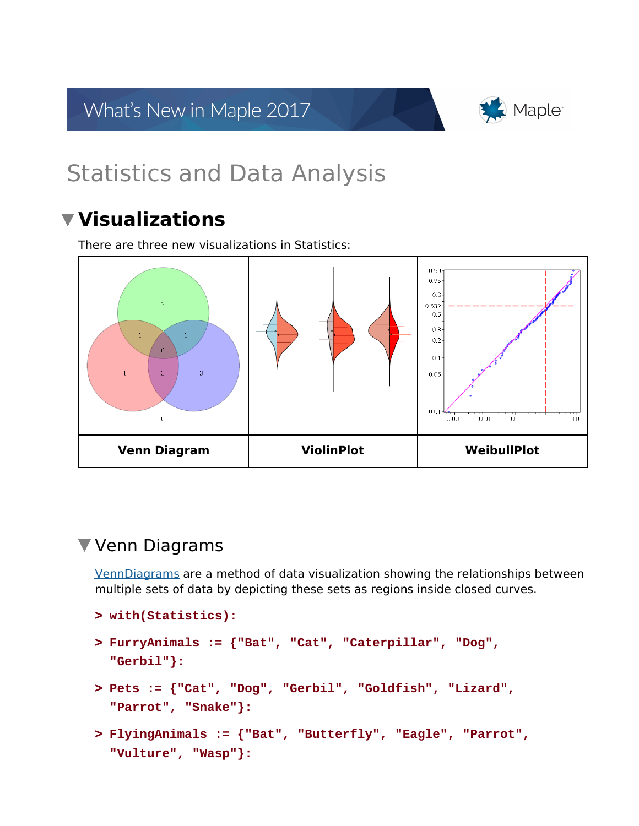What's New in Maple 2017



# Statistics and Data Analysis

# **Visualizations**

There are three new visualizations in Statistics:



# Venn Diagrams

VennDiagrams are a method of data visualization showing the relationships between multiple sets of data by depicting these sets as regions inside closed curves.

```
> 
with(Statistics):
```

```
> 
FurryAnimals := {"Bat", "Cat", "Caterpillar", "Dog", 
  "Gerbil"}:
```
- **> Pets := {"Cat", "Dog", "Gerbil", "Goldfish", "Lizard", "Parrot", "Snake"}:**
- **> FlyingAnimals := {"Bat", "Butterfly", "Eagle", "Parrot", "Vulture", "Wasp"}:**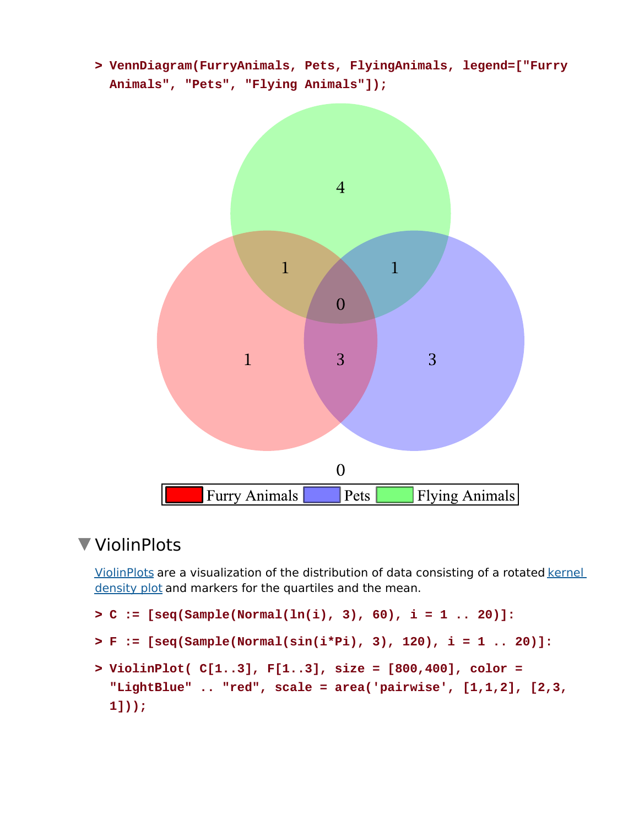**> VennDiagram(FurryAnimals, Pets, FlyingAnimals, legend=["Furry Animals", "Pets", "Flying Animals"]);**



# ▼ ViolinPlots

ViolinPlots are a visualization of the distribution of data consisting of a rotated kernel density plot and markers for the quartiles and the mean.

```
> 
ViolinPlot( C[1..3], F[1..3], size = [800,400], color = 
> 
C := [seq(Sample(Normal(ln(i), 3), 60), i = 1 .. 20)]:
> 
F := [seq(Sample(Normal(sin(i*Pi), 3), 120), i = 1 .. 20)]:
 "LightBlue" .. "red", scale = area('pairwise', [1,1,2], [2,3,
 1]));
```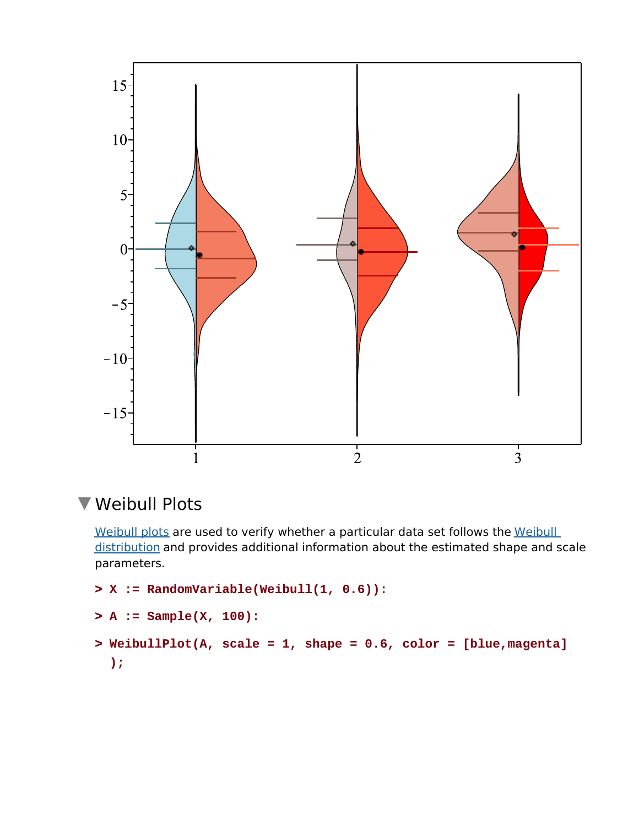

# Weibull Plots

Weibull plots are used to verify whether a particular data set follows the Weibull distribution and provides additional information about the estimated shape and scale parameters.

```
> 
WeibullPlot(A, scale = 1, shape = 0.6, color = [blue,magenta]
> 
X := RandomVariable(Weibull(1, 0.6)):
> 
A := Sample(X, 100):
  );
```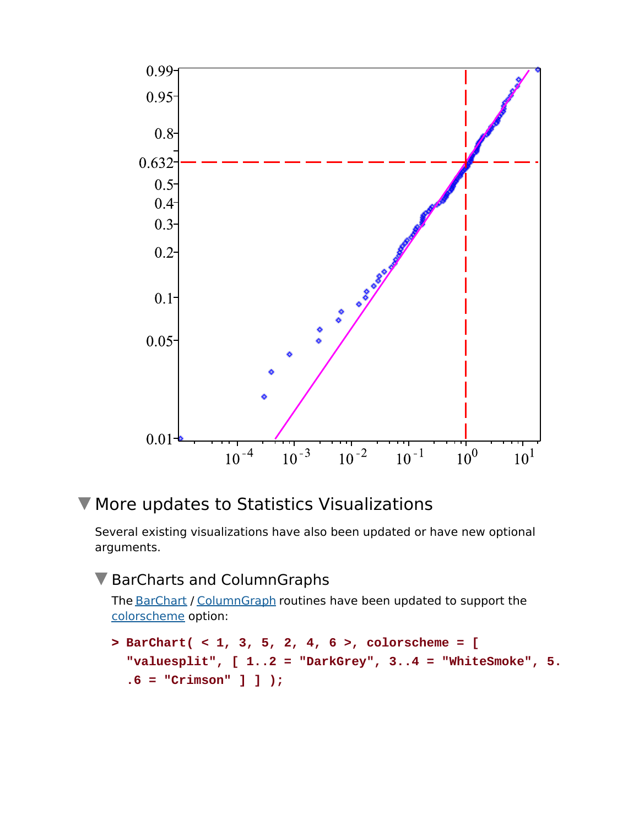

# **V** More updates to Statistics Visualizations

Several existing visualizations have also been updated or have new optional arguments.

#### ▼ BarCharts and ColumnGraphs

The BarChart / ColumnGraph routines have been updated to support the colorscheme option:

```
> 
BarChart( < 1, 3, 5, 2, 4, 6 >, colorscheme = [ 
 "valuesplit", [ 1..2 = "DarkGrey", 3..4 = "WhiteSmoke", 5.
 .6 = "Crimson" ] ] );
```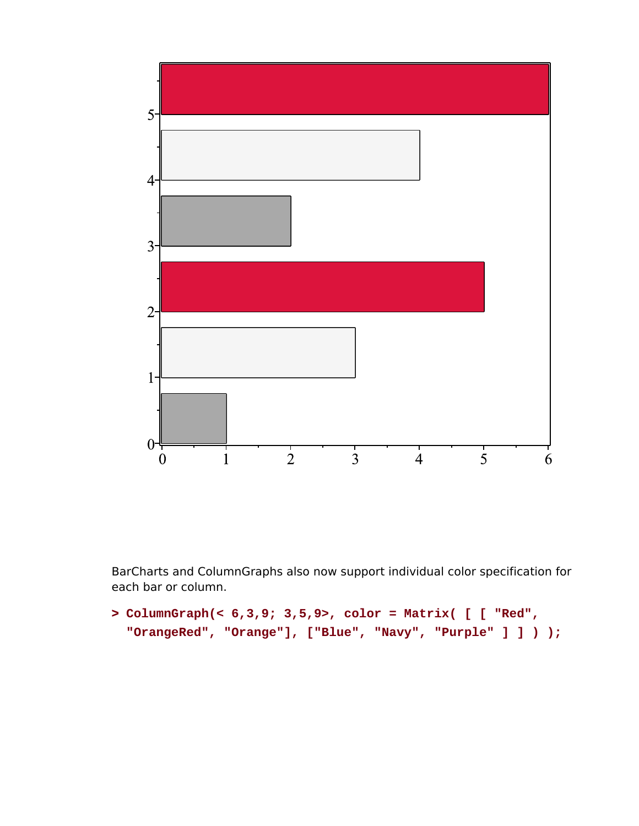

BarCharts and ColumnGraphs also now support individual color specification for each bar or column.

```
> 
ColumnGraph(< 6,3,9; 3,5,9>, color = Matrix( [ [ "Red", 
 "OrangeRed", "Orange"], ["Blue", "Navy", "Purple" ] ] ) );
```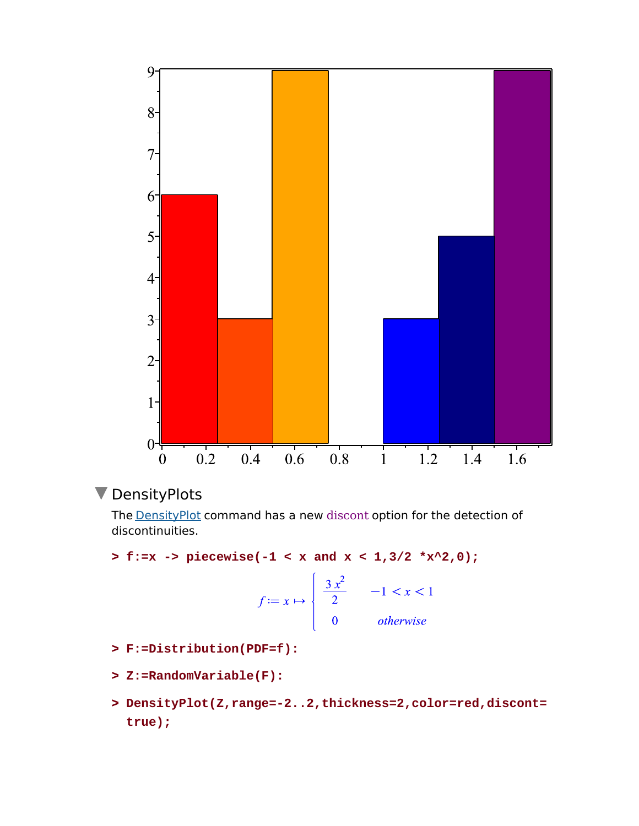

### **V** DensityPlots

The **DensityPlot** command has a new discont option for the detection of discontinuities.

**> f:=x -> piecewise(-1 < x and x < 1,3/2 \*x^2,0);**

$$
f := x \mapsto \begin{cases} \frac{3x^2}{2} & -1 < x < 1 \\ 0 & \text{otherwise} \end{cases}
$$

- **> F:=Distribution(PDF=f):**
- **> Z:=RandomVariable(F):**
- **> DensityPlot(Z,range=-2..2,thickness=2,color=red,discont= true);**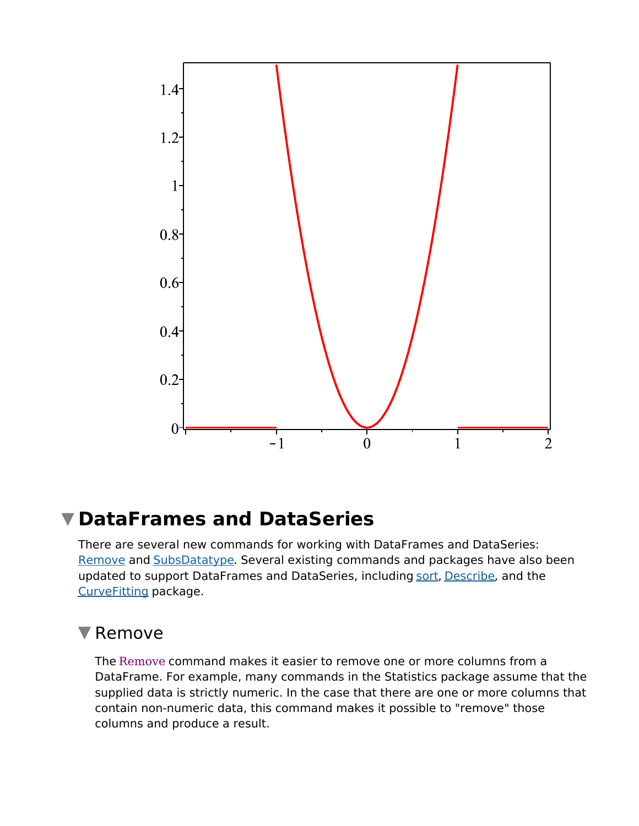

# **DataFrames and DataSeries**

There are several new commands for working with DataFrames and DataSeries: Remove and SubsDatatype. Several existing commands and packages have also been updated to support DataFrames and DataSeries, including sort, Describe, and the CurveFitting package.

# **V** Remove

The Remove command makes it easier to remove one or more columns from a DataFrame. For example, many commands in the Statistics package assume that the supplied data is strictly numeric. In the case that there are one or more columns that contain non-numeric data, this command makes it possible to "remove" those columns and produce a result.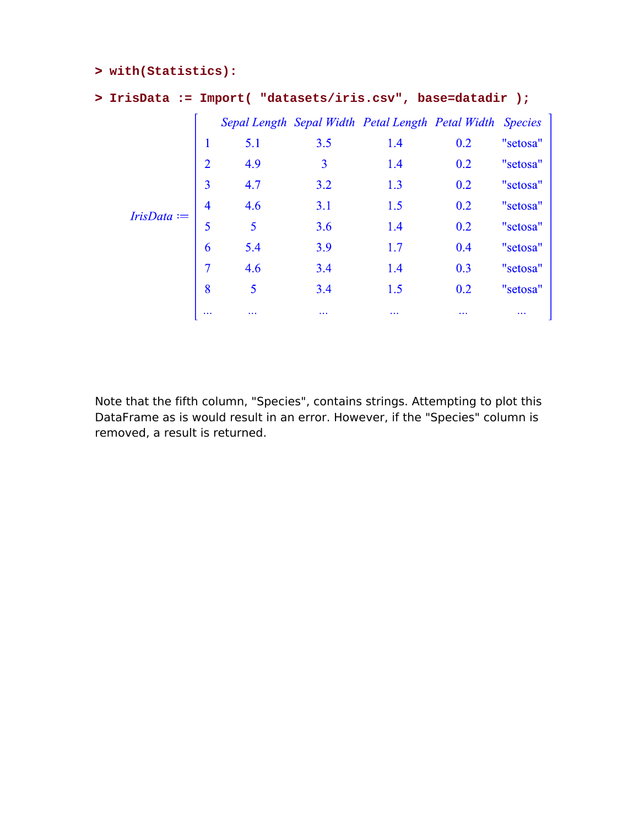#### **> with(Statistics):**

#### **> IrisData := Import( "datasets/iris.csv", base=datadir );**

|               |                |                |          | Sepal Length Sepal Width Petal Length Petal Width Species |     |          |
|---------------|----------------|----------------|----------|-----------------------------------------------------------|-----|----------|
|               | $\mathbf{1}$   | 5.1            | 3.5      | 1.4                                                       | 0.2 | "setosa" |
|               | $\overline{2}$ | 4.9            | 3        | 1.4                                                       | 0.2 | "setosa" |
|               | $\overline{3}$ | 4.7            | 3.2      | 1.3                                                       | 0.2 | "setosa" |
| $IrisData :=$ | $\overline{4}$ | 4.6            | 3.1      | 1.5                                                       | 0.2 | "setosa" |
|               | 5              | $\overline{5}$ | 3.6      | 1.4                                                       | 0.2 | "setosa" |
|               | 6              | 5.4            | 3.9      | 1.7                                                       | 0.4 | "setosa" |
|               | 7              | 4.6            | 3.4      | 1.4                                                       | 0.3 | "setosa" |
|               | 8              | 5              | 3.4      | 1.5                                                       | 0.2 | "setosa" |
|               | $\cdots$       |                | $\cdots$ | $\cdots$                                                  | .   | $\cdots$ |

Note that the fifth column, "Species", contains strings. Attempting to plot this DataFrame as is would result in an error. However, if the "Species" column is removed, a result is returned.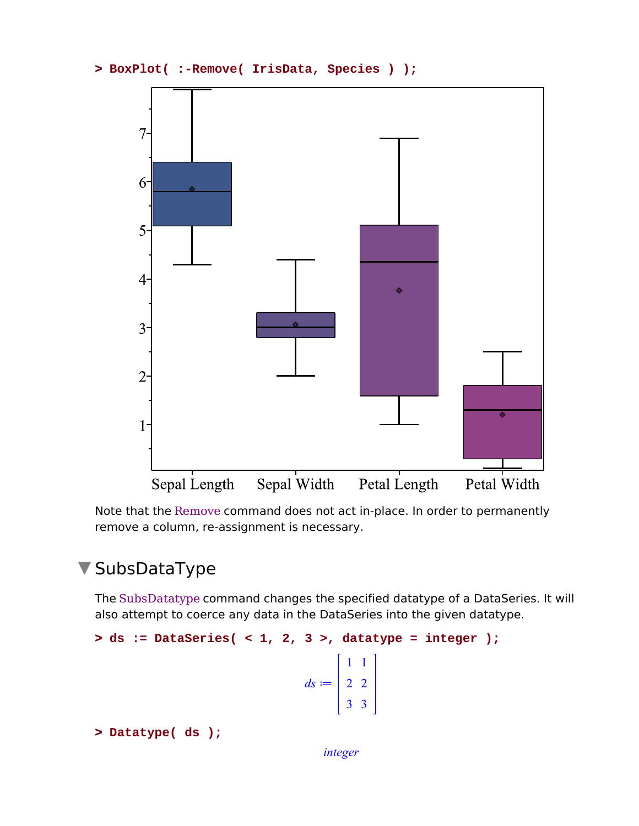```
> 
BoxPlot( :-Remove( IrisData, Species ) );
```


Note that the Remove command does not act in-place. In order to permanently remove a column, re-assignment is necessary.

# SubsDataType

The SubsDatatype command changes the specified datatype of a DataSeries. It will also attempt to coerce any data in the DataSeries into the given datatype.

```
> 
ds := DataSeries( < 1, 2, 3 >, datatype = integer );
                                                     ds := \left[\begin{array}{cc} 1 & 1 \\ 2 & 2 \\ 3 & 3 \end{array}\right]
```
**> Datatype( ds );**

*integer*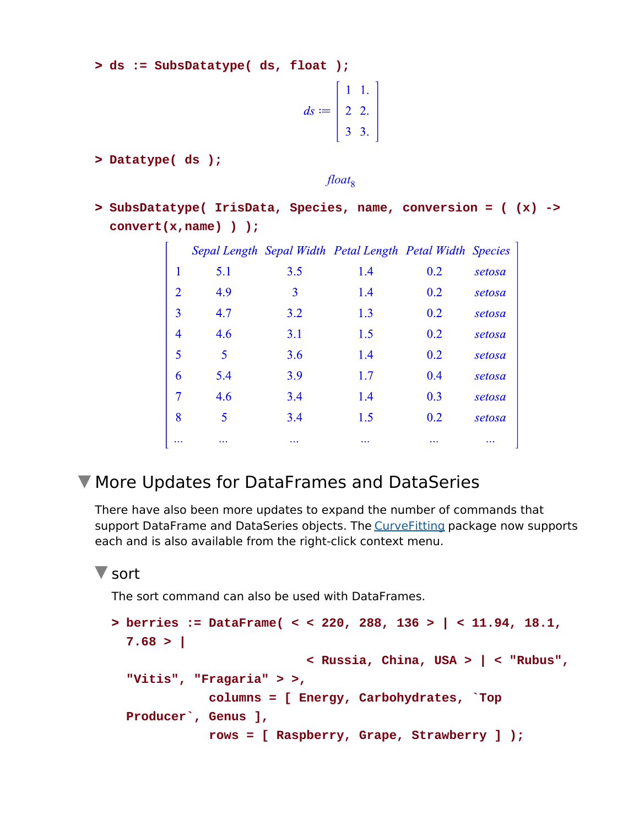**> ds := SubsDatatype( ds, float );**

$$
ds := \left[\begin{array}{rr} 1 & 1. \\ 2 & 2. \\ 3 & 3. \end{array}\right]
$$

**> Datatype( ds );**

float<sub>8</sub>

**> SubsDatatype( IrisData, Species, name, conversion = ( (x) -> convert(x,name) ) );**

|                |     |          | Sepal Length Sepal Width Petal Length Petal Width Species |          |          |
|----------------|-----|----------|-----------------------------------------------------------|----------|----------|
| 1              | 5.1 | 3.5      | 1.4                                                       | 0.2      | setosa   |
| $\overline{2}$ | 4.9 | 3        | 1.4                                                       | 0.2      | setosa   |
| 3              | 4.7 | 3.2      | 1.3                                                       | 0.2      | setosa   |
| 4              | 4.6 | 3.1      | 1.5                                                       | 0.2      | setosa   |
| 5              | 5   | 3.6      | 1.4                                                       | 0.2      | setosa   |
| 6              | 5.4 | 3.9      | 1.7                                                       | 0.4      | setosa   |
| 7              | 4.6 | 3.4      | 1.4                                                       | 0.3      | setosa   |
| 8              | 5   | 3.4      | 1.5                                                       | 0.2      | setosa   |
| $\cdots$       |     | $\cdots$ | $\cdots$                                                  | $\cdots$ | $\cdots$ |

# More Updates for DataFrames and DataSeries

There have also been more updates to expand the number of commands that support DataFrame and DataSeries objects. The CurveFitting package now supports each and is also available from the right-click context menu.

#### **V** sort

The sort command can also be used with DataFrames.

```
> 
berries := DataFrame( < < 220, 288, 136 > | < 11.94, 18.1, 
 7.68 > | 
                           < Russia, China, USA > | < "Rubus",
 "Vitis", "Fragaria" > >,
              columns = [ Energy, Carbohydrates, `Top 
 Producer`, Genus ],
              rows = [ Raspberry, Grape, Strawberry ] );
```